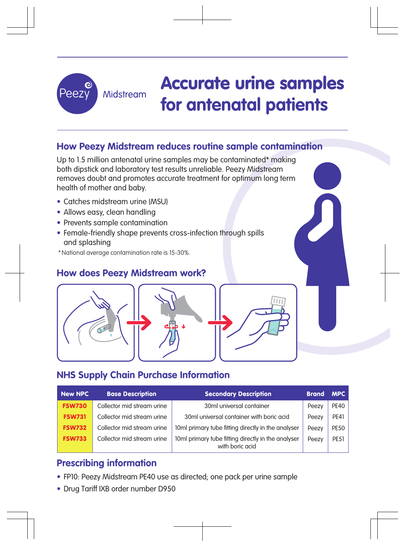

# **How Peezy Midstream reduces routine sample contamination**

Up to 1.5 million antenatal urine samples may be contaminated\* making both dipstick and laboratory test results unreliable. Peezy Midstream removes doubt and promotes accurate treatment for optimum long term health of mother and baby.

- Catches midstream urine (MSU)
- Allows easy, clean handling
- Prevents sample contamination
- Female-friendly shape prevents cross-infection through spills and splashing
- \*National average contamination rate is 15-30%.

## **How does Peezy Midstream work?**



# **NHS Supply Chain Purchase Information**

| <b>New NPC</b> | <b>Base Description</b>    | <b>Secondary Description</b>                                          | <b>Brand</b> | <b>MPC</b>  |
|----------------|----------------------------|-----------------------------------------------------------------------|--------------|-------------|
| <b>FSW730</b>  | Collector mid stream urine | 30ml universal container                                              | Peezy        | <b>PE40</b> |
| <b>FSW731</b>  | Collector mid stream urine | 30ml universal container with boric acid                              | Peezy        | <b>PE41</b> |
| <b>FSW732</b>  | Collector mid stream urine | 10ml primary tube fitting directly in the analyser                    | Peezy        | <b>PE50</b> |
| <b>FSW733</b>  | Collector mid stream urine | 10ml primary tube fitting directly in the analyser<br>with boric acid | Peezy        | <b>PE51</b> |

## **Prescribing information**

- FP10: Peezy Midstream PE40 use as directed; one pack per urine sample
- Drug Tariff IXB order number D950